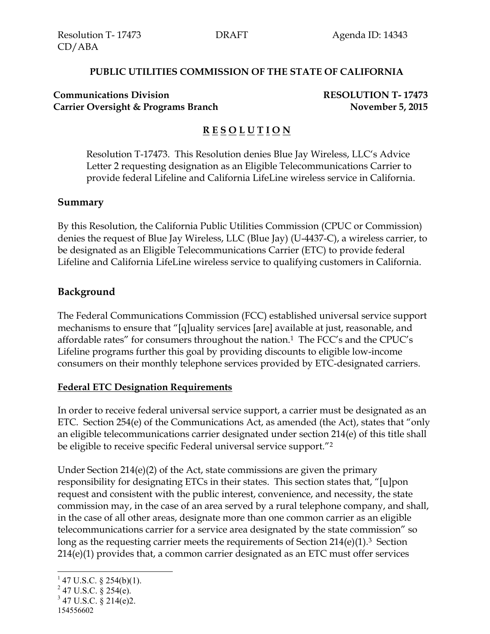#### **PUBLIC UTILITIES COMMISSION OF THE STATE OF CALIFORNIA**

#### **Communications Division RESOLUTION T- 17473 Carrier Oversight & Programs Branch November 5, 2015**

# **R E S O L U T I O N**

Resolution T-17473. This Resolution denies Blue Jay Wireless, LLC's Advice Letter 2 requesting designation as an Eligible Telecommunications Carrier to provide federal Lifeline and California LifeLine wireless service in California.

#### **Summary**

By this Resolution, the California Public Utilities Commission (CPUC or Commission) denies the request of Blue Jay Wireless, LLC (Blue Jay) (U-4437-C), a wireless carrier, to be designated as an Eligible Telecommunications Carrier (ETC) to provide federal Lifeline and California LifeLine wireless service to qualifying customers in California.

### **Background**

The Federal Communications Commission (FCC) established universal service support mechanisms to ensure that "[q]uality services [are] available at just, reasonable, and affordable rates" for consumers throughout the nation.1 The FCC's and the CPUC's Lifeline programs further this goal by providing discounts to eligible low-income consumers on their monthly telephone services provided by ETC-designated carriers.

#### **Federal ETC Designation Requirements**

In order to receive federal universal service support, a carrier must be designated as an ETC. Section 254(e) of the Communications Act, as amended (the Act), states that "only an eligible telecommunications carrier designated under section 214(e) of this title shall be eligible to receive specific Federal universal service support."<sup>2</sup>

Under Section 214(e)(2) of the Act, state commissions are given the primary responsibility for designating ETCs in their states. This section states that, "[u]pon request and consistent with the public interest, convenience, and necessity, the state commission may, in the case of an area served by a rural telephone company, and shall, in the case of all other areas, designate more than one common carrier as an eligible telecommunications carrier for a service area designated by the state commission" so long as the requesting carrier meets the requirements of Section 214(e)(1).3 Section 214(e)(1) provides that, a common carrier designated as an ETC must offer services

 $\overline{a}$ 

 $147$  U.S.C. § 254(b)(1).

 $^{2}$  47 U.S.C. § 254(e).

 $347$  U.S.C.  $\S 214(e)2$ .

<sup>154556602</sup>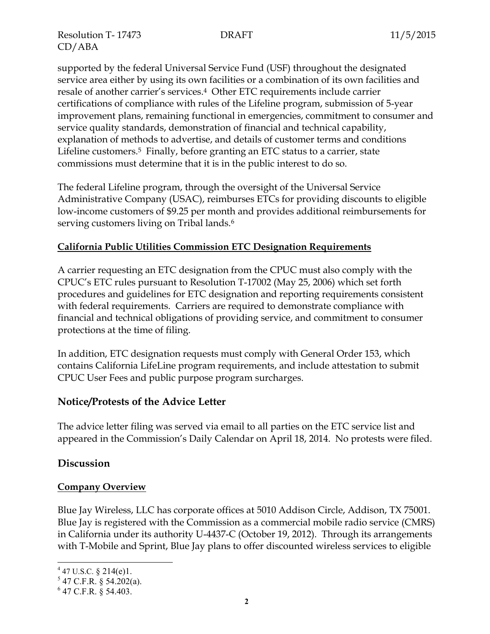Resolution T- 17473 DRAFT 11/5/2015 CD/ABA

supported by the federal Universal Service Fund (USF) throughout the designated service area either by using its own facilities or a combination of its own facilities and resale of another carrier's services.4 Other ETC requirements include carrier certifications of compliance with rules of the Lifeline program, submission of 5-year improvement plans, remaining functional in emergencies, commitment to consumer and service quality standards, demonstration of financial and technical capability, explanation of methods to advertise, and details of customer terms and conditions Lifeline customers.<sup>5</sup> Finally, before granting an ETC status to a carrier, state commissions must determine that it is in the public interest to do so.

The federal Lifeline program, through the oversight of the Universal Service Administrative Company (USAC), reimburses ETCs for providing discounts to eligible low-income customers of \$9.25 per month and provides additional reimbursements for serving customers living on Tribal lands.<sup>6</sup>

## **California Public Utilities Commission ETC Designation Requirements**

A carrier requesting an ETC designation from the CPUC must also comply with the CPUC's ETC rules pursuant to Resolution T-17002 (May 25, 2006) which set forth procedures and guidelines for ETC designation and reporting requirements consistent with federal requirements. Carriers are required to demonstrate compliance with financial and technical obligations of providing service, and commitment to consumer protections at the time of filing.

In addition, ETC designation requests must comply with General Order 153, which contains California LifeLine program requirements, and include attestation to submit CPUC User Fees and public purpose program surcharges.

#### **Notice/Protests of the Advice Letter**

The advice letter filing was served via email to all parties on the ETC service list and appeared in the Commission's Daily Calendar on April 18, 2014. No protests were filed.

## **Discussion**

#### **Company Overview**

Blue Jay Wireless, LLC has corporate offices at 5010 Addison Circle, Addison, TX 75001. Blue Jay is registered with the Commission as a commercial mobile radio service (CMRS) in California under its authority U-4437-C (October 19, 2012). Through its arrangements with T-Mobile and Sprint, Blue Jay plans to offer discounted wireless services to eligible

l  $447$  U.S.C. § 214(e)1.

 $5$  47 C.F.R. § 54.202(a).

<sup>6</sup> 47 C.F.R. § 54.403.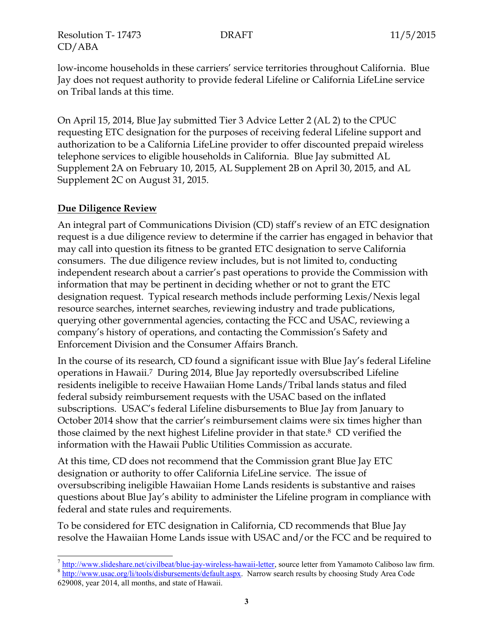Resolution T- 17473 DRAFT 11/5/2015 CD/ABA

low-income households in these carriers' service territories throughout California. Blue Jay does not request authority to provide federal Lifeline or California LifeLine service on Tribal lands at this time.

On April 15, 2014, Blue Jay submitted Tier 3 Advice Letter 2 (AL 2) to the CPUC requesting ETC designation for the purposes of receiving federal Lifeline support and authorization to be a California LifeLine provider to offer discounted prepaid wireless telephone services to eligible households in California. Blue Jay submitted AL Supplement 2A on February 10, 2015, AL Supplement 2B on April 30, 2015, and AL Supplement 2C on August 31, 2015.

## **Due Diligence Review**

An integral part of Communications Division (CD) staff's review of an ETC designation request is a due diligence review to determine if the carrier has engaged in behavior that may call into question its fitness to be granted ETC designation to serve California consumers. The due diligence review includes, but is not limited to, conducting independent research about a carrier's past operations to provide the Commission with information that may be pertinent in deciding whether or not to grant the ETC designation request. Typical research methods include performing Lexis/Nexis legal resource searches, internet searches, reviewing industry and trade publications, querying other governmental agencies, contacting the FCC and USAC, reviewing a company's history of operations, and contacting the Commission's Safety and Enforcement Division and the Consumer Affairs Branch.

In the course of its research, CD found a significant issue with Blue Jay's federal Lifeline operations in Hawaii. <sup>7</sup> During 2014, Blue Jay reportedly oversubscribed Lifeline residents ineligible to receive Hawaiian Home Lands/Tribal lands status and filed federal subsidy reimbursement requests with the USAC based on the inflated subscriptions. USAC's federal Lifeline disbursements to Blue Jay from January to October 2014 show that the carrier's reimbursement claims were six times higher than those claimed by the next highest Lifeline provider in that state. <sup>8</sup> CD verified the information with the Hawaii Public Utilities Commission as accurate.

At this time, CD does not recommend that the Commission grant Blue Jay ETC designation or authority to offer California LifeLine service. The issue of oversubscribing ineligible Hawaiian Home Lands residents is substantive and raises questions about Blue Jay's ability to administer the Lifeline program in compliance with federal and state rules and requirements.

To be considered for ETC designation in California, CD recommends that Blue Jay resolve the Hawaiian Home Lands issue with USAC and/or the FCC and be required to

 $\overline{a}$ <sup>7</sup> [http://www.slideshare.net/civilbeat/blue-jay-wireless-hawaii-letter,](http://www.slideshare.net/civilbeat/blue-jay-wireless-hawaii-letter) source letter from Yamamoto Caliboso law firm.

<sup>&</sup>lt;sup>8</sup> [http://www.usac.org/li/tools/disbursements/default.aspx.](http://www.usac.org/li/tools/disbursements/default.aspx) Narrow search results by choosing Study Area Code 629008, year 2014, all months, and state of Hawaii.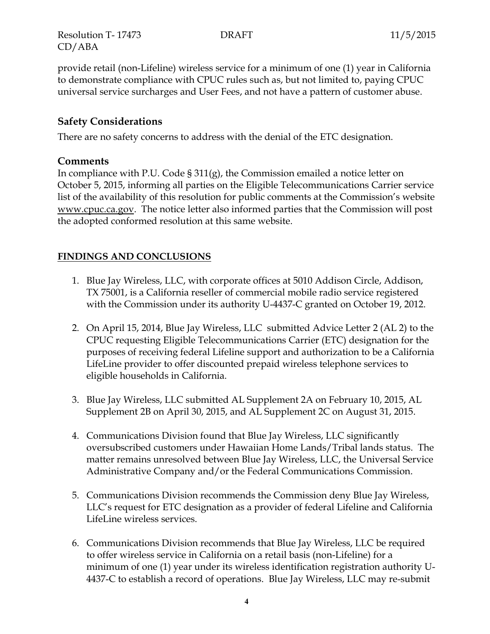Resolution T- 17473 DRAFT 11/5/2015 CD/ABA

provide retail (non-Lifeline) wireless service for a minimum of one (1) year in California to demonstrate compliance with CPUC rules such as, but not limited to, paying CPUC universal service surcharges and User Fees, and not have a pattern of customer abuse.

## **Safety Considerations**

There are no safety concerns to address with the denial of the ETC designation.

### **Comments**

In compliance with P.U. Code § 311(g), the Commission emailed a notice letter on October 5, 2015, informing all parties on the Eligible Telecommunications Carrier service list of the availability of this resolution for public comments at the Commission's website www.cpuc.ca.gov. The notice letter also informed parties that the Commission will post the adopted conformed resolution at this same website.

## **FINDINGS AND CONCLUSIONS**

- 1. Blue Jay Wireless, LLC, with corporate offices at 5010 Addison Circle, Addison, TX 75001, is a California reseller of commercial mobile radio service registered with the Commission under its authority U-4437-C granted on October 19, 2012.
- 2. On April 15, 2014, Blue Jay Wireless, LLC submitted Advice Letter 2 (AL 2) to the CPUC requesting Eligible Telecommunications Carrier (ETC) designation for the purposes of receiving federal Lifeline support and authorization to be a California LifeLine provider to offer discounted prepaid wireless telephone services to eligible households in California.
- 3. Blue Jay Wireless, LLC submitted AL Supplement 2A on February 10, 2015, AL Supplement 2B on April 30, 2015, and AL Supplement 2C on August 31, 2015.
- 4. Communications Division found that Blue Jay Wireless, LLC significantly oversubscribed customers under Hawaiian Home Lands/Tribal lands status. The matter remains unresolved between Blue Jay Wireless, LLC, the Universal Service Administrative Company and/or the Federal Communications Commission.
- 5. Communications Division recommends the Commission deny Blue Jay Wireless, LLC's request for ETC designation as a provider of federal Lifeline and California LifeLine wireless services.
- 6. Communications Division recommends that Blue Jay Wireless, LLC be required to offer wireless service in California on a retail basis (non-Lifeline) for a minimum of one (1) year under its wireless identification registration authority U-4437-C to establish a record of operations. Blue Jay Wireless, LLC may re-submit